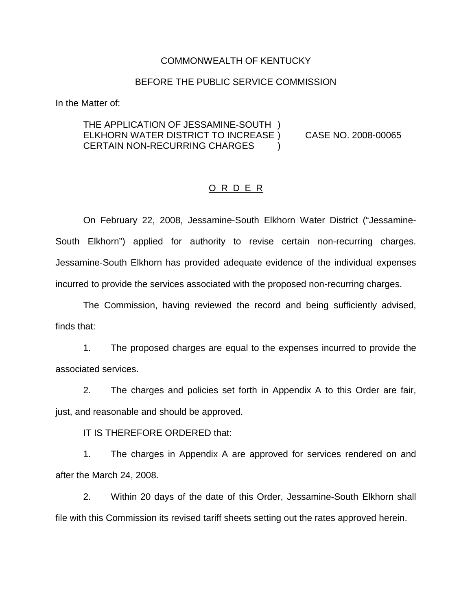#### COMMONWEALTH OF KENTUCKY

### BEFORE THE PUBLIC SERVICE COMMISSION

In the Matter of:

### THE APPLICATION OF JESSAMINE-SOUTH ) ELKHORN WATER DISTRICT TO INCREASE ) CASE NO. 2008-00065 CERTAIN NON-RECURRING CHARGES

### O R D E R

On February 22, 2008, Jessamine-South Elkhorn Water District ("Jessamine-South Elkhorn") applied for authority to revise certain non-recurring charges. Jessamine-South Elkhorn has provided adequate evidence of the individual expenses incurred to provide the services associated with the proposed non-recurring charges.

The Commission, having reviewed the record and being sufficiently advised, finds that:

1. The proposed charges are equal to the expenses incurred to provide the associated services.

2. The charges and policies set forth in Appendix A to this Order are fair, just, and reasonable and should be approved.

IT IS THEREFORE ORDERED that:

1. The charges in Appendix A are approved for services rendered on and after the March 24, 2008.

2. Within 20 days of the date of this Order, Jessamine-South Elkhorn shall file with this Commission its revised tariff sheets setting out the rates approved herein.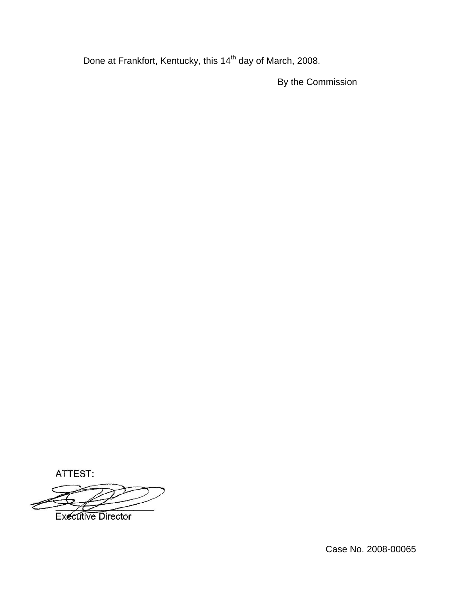Done at Frankfort, Kentucky, this 14<sup>th</sup> day of March, 2008.

By the Commission

ATTEST:

**Executive Director** 

Case No. 2008-00065